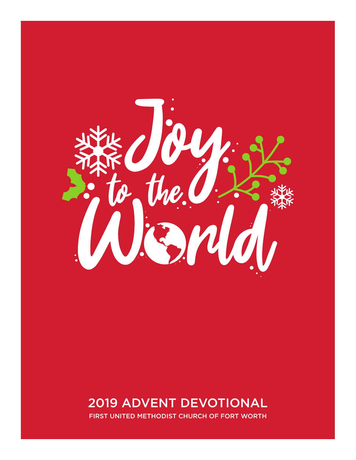

## 2019 ADVENT DEVOTIONAL

FIRST UNITED METHODIST CHURCH OF FORT WORTH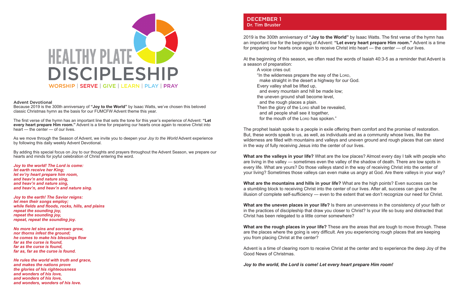

#### Advent Devotional

Because 2019 is the 300th anniversary of **"Joy to the World"** by Isaac Watts, we've chosen this beloved classic Christmas hymn as the basis for our FUMCFW Advent theme this year.

The first verse of the hymn has an important line that sets the tone for this year's experience of Advent: **"Let every heart prepare Him room."** Advent is a time for preparing our hearts once again to receive Christ into heart — the center — of our lives.

As we move through the Season of Advent, we invite you to deepen your *Joy to the World* Advent experience by following this daily weekly Advent Devotional.

By adding this special focus on Joy to our thoughts and prayers throughout the Advent Season, we prepare our hearts and minds for joyful celebration of Christ entering the word.

*Joy to the world! The Lord is come: let earth receive her King; let ev'ry heart prepare him room, and heav'n and nature sing, and heav'n and nature sing, and heav'n, and heav'n and nature sing.*

- A voice cries out:
- "In the wilderness prepare the way of the LORD, make straight in the desert a highway for our God. Every valley shall be lifted up,
- and every mountain and hill be made low; the uneven ground shall become level,
- and the rough places a plain.
- Then the glory of the Lorp shall be revealed, and all people shall see it together, for the mouth of the Lord has spoken."

*Joy to the earth! The Savior reigns: let men their songs employ; while fields and floods, rocks, hills, and plains repeat the sounding joy, repeat the sounding joy, repeat, repeat the sounding joy.*

*No more let sins and sorrows grow, nor thorns infest the ground; he comes to make his blessings flow far as the curse is found, far as the curse is found, far as, far as the curse is found.*

*He rules the world with truth and grace, and makes the nations prove the glories of his righteousness and wonders of his love, and wonders of his love, and wonders, wonders of his love.*

2019 is the 300th anniversary of **"Joy to the World"** by Isaac Watts. The first verse of the hymn has an important line for the beginning of Advent: **"Let every heart prepare Him room."** Advent is a time for preparing our hearts once again to receive Christ into heart — the center — of our lives.

At the beginning of this season, we often read the words of Isaiah 40:3-5 as a reminder that Advent is a season of preparation:

The prophet Isaiah spoke to a people in exile offering them comfort and the promise of restoration. But, these words speak to us, as well, as individuals and as a community whose lives, like the wilderness are filled with mountains and valleys and uneven ground and rough places that can stand in the way of fully receiving Jesus into the center of our lives.

**What are the valleys in your life?** What are the low places? Almost every day I talk with people who are living in the valley — sometimes even the valley of the shadow of death. There are low spots in every life. What are yours? Do those valleys stand in the way of receiving Christ into the center of your living? Sometimes those valleys can even make us angry at God. Are there valleys in your way?

**What are the mountains and hills in your life?** What are the high points? Even success can be a stumbling block to receiving Christ into the center of our lives. After all, success can give us the illusion of complete self-sufficiency — even to the extent that we don't recognize our need for Christ.

**What are the uneven places in your life?** Is there an unevenness in the consistency of your faith or in the practices of discipleship that draw you closer to Christ? Is your life so busy and distracted that Christ has been relegated to a little corner somewhere?

**What are the rough places in your life?** These are the areas that are tough to move through. These are the places where the going is very difficult. Are you experiencing rough places that are keeping you from placing Christ at the center?

Advent is a time of clearing room to receive Christ at the center and to experience the deep Joy of the Good News of Christmas.

*Joy to the world, the Lord is come! Let every heart prepare Him room!*

#### DECEMBER 1 Dr. Tim Bruster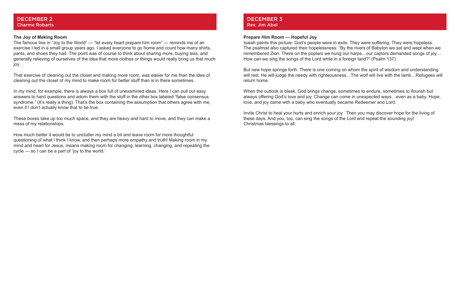#### **Prepare Him Room — Hopeful Joy**

Isaiah paints this picture: God's people were in exile. They were suffering. They were hopeless. The psalmist also captured their hopelessness: "By the rivers of Babylon we sat and wept when we remembered Zion. There on the poplars we hung our harps…our captors demanded songs of joy… How can we sing the songs of the Lord while in a foreign land?" (Psalm 137)

But new hope springs forth. There is one coming on whom the spirit of wisdom and understanding will rest. He will judge the needy with righteousness...The wolf will live with the lamb...Refugees will return home.

When the outlook is bleak, God brings change, sometimes to endure, sometimes to flourish but always offering God's love and joy. Change can come in unexpected ways…even as a baby. Hope, love, and joy came with a baby who eventually became Redeemer and Lord.

Invite Christ to heal your hurts and enrich your joy. Then you may discover hope for the living of these days. And you, too, can sing the songs of the Lord and repeat the sounding joy! Christmas blessings to all.

#### **The Joy of Making Room**

The famous line in "Joy to the World" — "let every heart prepare him room" — reminds me of an exercise I led in a small group years ago. I asked everyone to go home and count how many shirts, pants, and shoes they had. The point was of course to think about sharing more, buying less, and generally relieving of ourselves of the idea that more clothes or things would really bring us that much joy.

That exercise of cleaning out the closet and making more room, was easier for me than the idea of cleaning out the closet of my mind to make room for better stuff than is in there sometimes.

In my mind, for example, there is always a box full of unexamined ideas. Here I can pull out easy answers to hard questions and adorn them with the stuff in the other box labeled "false consensus syndrome." (It's really a thing). That's the box containing the assumption that others agree with me, even if I don't actually know that to be true.

These boxes take up too much space, and they are heavy and hard to move, and they can make a mess of my relationships.

How much better it would be to unclutter my mind a bit and leave room for more thoughtful questioning of what I think I know, and then perhaps more empathy and truth! Making room in my mind and heart for Jesus, means making room for changing, learning, changing, and repeating the cycle — so I can be a part of 'joy to the world.'

#### DECEMBER 3 Rev. Jim Abel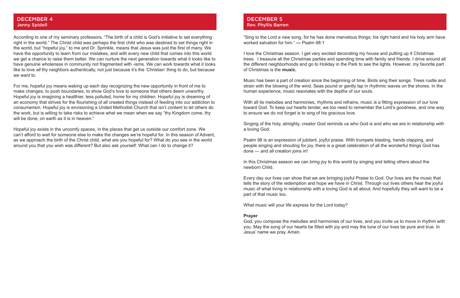"Sing to the Lord a new song, for he has done marvelous things; his right hand and his holy arm have worked salvation for him." **—** Psalm 98:1

I love the Christmas season. I get very excited decorating my house and putting up 4 Christmas trees. I treasure all the Christmas parties and spending time with family and friends. I drive around all the different neighborhoods and go to Holiday in the Park to see the lights. However, my favorite part of Christmas is the **music.** 

Music has been a part of creation since the beginning of time. Birds sing their songs. Trees rustle and strain with the blowing of the wind. Seas pound or gently lap in rhythmic waves on the shores. In the human experience, music resonates with the depths of our souls.

In this Christmas season we can bring joy to this world by singing and telling others about the newborn Child.

With all its melodies and harmonies, rhythms and refrains, music is a fitting expression of our love toward God. To keep our hearts tender, we too need to remember the Lord's goodness, and one way to ensure we do not forget is to sing of his gracious love.

Singing of the holy, almighty, creator God reminds us who God is and who we are in relationship with a loving God.

Psalm 98 is an expression of jubilant, joyful praise. With trumpets blasting, hands clapping, and people singing and shouting for joy, there is a great celebration of all the wonderful things God has done — and all creation joins in!

For me, hopeful joy means waking up each day recognizing the new opportunity in front of me to make changes, to push boundaries, to show God's love to someone that others deem unworthy. Hopeful joy is imagining a healthier, less polluted, home for my children. Hopeful joy is dreaming of an economy that strives for the flourishing of all created things instead of feeding into our addiction to consumerism. Hopeful joy is envisioning a United Methodist Church that isn't content to let others do the work, but is willing to take risks to achieve what we mean when we say "thy Kingdom come, thy will be done, on earth as it is in heaven."

> Every day our lives can show that we are bringing joyful Praise to God. Our lives are the music that tells the story of the redemption and hope we have in Christ. Through our lives others hear the joyful music of what living in relationship with a loving God is all about. And hopefully they will want to be a part of that music too.

What music will your life express for the Lord today?

#### **Prayer**

God, you compose the melodies and harmonies of our lives, and you invite us to move in rhythm with you. May the song of our hearts be filled with joy and may the tune of our lives be pure and true. In Jesus' name we pray. Amen.

According to one of my seminary professors, "The birth of a child is God's initiative to set everything right in the world." The Christ child was perhaps the first child who was destined to set things right in the world, but "hopeful joy," to me and Dr. Sprinkle, means that Jesus was just the first of many. We have the opportunity to learn from our mistakes, and with every new child that comes into this world we get a chance to raise them better. We can nurture the next generation towards what it looks like to have genuine wholeness in community not fragmented with -isms. We can work towards what it looks like to love *all* thy neighbors authentically, not just because it's the 'Christian' thing to do, but because we want to.

Hopeful joy exists in the uncomfy spaces, in the places that get us outside our comfort zone. We can't afford to wait for someone else to make the changes we're hopeful for. In this season of Advent, as we approach the birth of the Christ child, what are you hopeful for? What do you see in the world around you that you wish was different? But also ask yourself: What can I do to change it?

#### DECEMBER 5 Rev. Phyllis Barren

#### DECEMBER 4 Jenny Spidell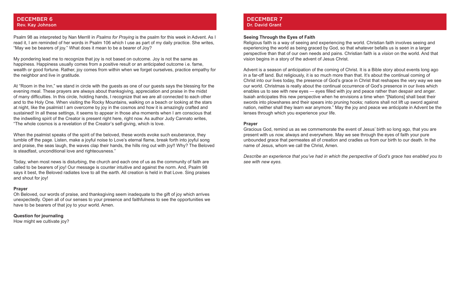#### **Seeing Through the Eyes of Faith**

Religious faith is a way of seeing and experiencing the world. Christian faith involves seeing and experiencing the world as being graced by God, so that whatever befalls us is seen in a larger perspective than that of our own needs and pains. Christian faith is a *vision* on the world. And that vision begins in a story of the advent of Jesus Christ.

Advent is a season of anticipation of the coming of Christ. It is a Bible story about events long ago in a far-off land. But religiously, it is so much more than that. It's about the continual coming of Christ into our lives today, the presence of God's grace in Christ that reshapes the very way we see our world. Christmas is really about the continual occurrence of God's presence in our lives which enables us to see with new eyes — eyes filled with joy and peace rather than despair and anger. Isaiah anticipates this new perspective when he envisions a time when "[Nations] shall beat their swords into plowshares and their spears into pruning hooks; nations shall not lift up sword against nation, neither shall they learn war anymore." May the joy and peace we anticipate in Advent be the lenses through which you experience your life.

#### **Prayer**

Gracious God, remind us as we commemorate the event of Jesus' birth so long ago, that you are present with us *now,* always and everywhere. May we see through the eyes of faith your pure unbounded grace that permeates all of creation and cradles us from our birth to our death. In the name of Jesus, whom we call the Christ, Amen.

*Describe an experience that you've had in which the perspective of God's grace has enabled you to see with new eyes.*

Psalm 98 as interpreted by Nan Merrill in *Psalms for Praying* is the psalm for this week in Advent. As I read it, I am reminded of her words in Psalm 106 which I use as part of my daily practice. She writes, "May we be bearers of joy." What does it mean to be a bearer of Joy?

My pondering lead me to recognize that joy is not based on outcome. Joy is not the same as happiness. Happiness usually comes from a positive result or an anticipated outcome i.e. fame, wealth or good fortune. Rather, joy comes from within when we forget ourselves, practice empathy for the neighbor and live in gratitude.

At "Room in the Inn," we stand in circle with the guests as one of our guests says the blessing for the evening meal. These prayers are always about thanksgiving, appreciation and praise in the midst of many difficulties. In this circle, holding hands, I recognize that we are all connected to each other and to the Holy One. When visiting the Rocky Mountains, walking on a beach or looking at the stars at night, like the psalmist I am overcome by joy in the cosmos and how it is amazingly crafted and sustained! In all these settings, it seems to appear in those aha moments when I am conscious that the indwelling spirit of the Creator is present right here, right now. As author Judy Cannato writes, "The whole cosmos is a revelation of the Creator's self-giving, which is love.

When the psalmist speaks of the spirit of the beloved, these words evoke such exuberance, they tumble off the page. Listen, make a joyful noise to Love's eternal flame, break forth into joyful song and praise, the seas laugh, the waves clap their hands, the hills ring out with joy!! Why? The Beloved is steadfast, unconditional love and righteousness."

Today, when most news is disturbing, the church and each one of us as the community of faith are called to be bearers of joy! Our message is counter intuitive and against the norm. And, Psalm 98 says it best, the Beloved radiates love to all the earth. All creation is held in that Love. Sing praises and shout for joy!

#### **Prayer**

Oh Beloved, our words of praise, and thanksgiving seem inadequate to the gift of joy which arrives unexpectedly. Open all of our senses to your presence and faithfulness to see the opportunities we have to be bearers of that joy to your world. Amen.

#### **Question for journaling**

How might we cultivate joy?

### DECEMBER 7 Dr. David Grant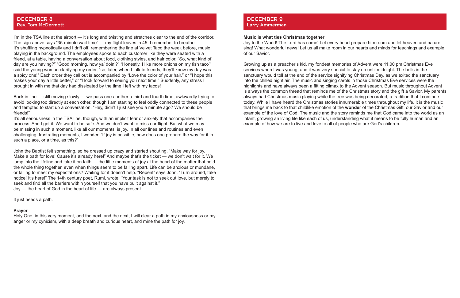#### **Music is what ties Christmas together**

Joy to the World! The Lord has come! Let every heart prepare him room and let heaven and nature sing! What wonderful news! Let us all make room in our hearts and minds for teachings and example of our Savior.

Growing up as a preacher's kid, my fondest memories of Advent were 11:00 pm Christmas Eve services when I was young, and it was very special to stay up until midnight. The bells in the sanctuary would toll at the end of the service signifying Christmas Day, as we exited the sanctuary into the chilled night air. The music and singing carols in those Christmas Eve services were the highlights and have always been a fitting climax to the Advent season. But music throughout Advent is always the common thread that reminds me of the Christmas story and the gift a Savior. My parents always had Christmas music playing while the tree was being decorated, a tradition that I continue today. While I have heard the Christmas stories innumerable times throughout my life, it is the music that brings me back to that childlike emotion of the **wonder** of the Christmas Gift, our Savior and our example of the love of God. The music and the story reminds me that God came into the world as an infant, growing an living life like each of us, understanding what it means to be fully human and an example of how we are to live and love to all of people who are God's children.

I'm in the TSA line at the airport — it's long and twisting and stretches clear to the end of the corridor. The sign above says "35-minute wait time" — my flight leaves in 45. I remember to breathe. It's shuffling hypnotically and I drift off, remembering the line at Velvet Taco the week before, music playing in the background. The employees spoke to each customer like they were seated with a friend, at a table, having a conversation about food, clothing styles, and hair color. "So, what kind of day are you having?" "Good morning, how ya' doin'?" "Honestly, I like more onions on my fish taco'" said the young woman clarifying my order, "so, later, when I talk to friends, they'll know my day was a spicy one!" Each order they call out is accompanied by "Love the color of your hair," or "I hope this makes your day a little better," or "I look forward to seeing you next time." Suddenly, any stress I brought in with me that day had dissipated by the time I left with my tacos!

Back in line — still moving slowly — we pass one another a third and fourth time, awkwardly trying to avoid looking too directly at each other, though I am starting to feel oddly connected to these people and tempted to start up a conversation. "Hey, didn't I just see you a minute ago? We should be friends!"

It's all seriousness in the TSA line, though, with an implicit fear or anxiety that accompanies the process. And I get it. We want to be safe. And we don't want to miss our flight. But what we may be missing in such a moment, like all our moments, is joy. In all our lines and routines and even challenging, frustrating moments, I wonder, "If joy is possible, how does one prepare the way for it in such a place, or a time, as this?"

John the Baptist felt something, so he dressed up crazy and started shouting, "Make way for joy. Make a path for love! Cause it's already here!" And maybe that's the ticket — we don't wait for it. We jump into the lifeline and take it on faith — the little moments of joy at the heart of the matter that hold the whole thing together, even when things seem to be falling apart. Life can be anxious or mundane, or failing to meet my expectations? Waiting for it doesn't help. "Repent" says John. "Turn around, take notice! It's here!" The 14th century poet, Rumi, wrote, "Your task is not to seek out love, but merely to seek and find all the barriers within yourself that you have built against it." Joy — the heart of God in the heart of life — are always present.

It just needs a path.

#### **Prayer**

Holy One, in this very moment, and the next, and the next, I will clear a path in my anxiousness or my anger or my cynicism, with a deep breath and curious heart, and mine the path for joy.

#### DECEMBER 9 Larry Ammerman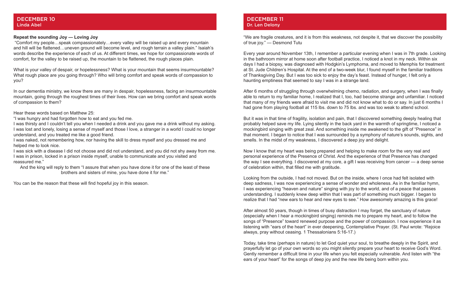"We are fragile creatures, and it is from this weakness, not despite it, that we discover the possibility of true joy." — Desmond Tutu

Every year around November 13th, I remember a particular evening when I was in 7th grade. Looking in the bathroom mirror at home soon after football practice, I noticed a knot in my neck. Within six days I had a biopsy, was diagnosed with Hodgkin's Lymphoma, and moved to Memphis for treatment at St. Jude Children's Hospital. At the end of a two-week blur, I found myself in the familiar traditions of Thanksgiving Day. But I was too sick to enjoy the day's feast. Instead of hunger, I felt only a haunting emptiness that seemed to say I was in a strange land.

After 6 months of struggling through overwhelming chemo, radiation, and surgery, when I was finally able to return to my familiar home, I realized that I, too, had become strange and unfamiliar. I noticed that many of my friends were afraid to visit me and did not know what to do or say. In just 6 months I had gone from playing football at 115 lbs. down to 75 lbs. and was too weak to attend school.

But it was in that time of fragility, isolation and pain, that I discovered something deeply healing that probably helped save my life. Lying silently in the back yard in the warmth of springtime, I noticed a mockingbird singing with great zeal. And something inside me awakened to the gift of "Presence" in that moment. I began to notice that I was surrounded by a symphony of nature's sounds, sights, and smells. In the midst of my weakness, I discovered a deep joy and delight.

Now I know that my heart was being prepared and helping to make room for the very real and personal experience of the Presence of Christ. And the experience of that Presence has changed the way I see everything. I discovered at my core, a gift I was receiving from cancer — a deep sense of celebration within, that filled me with gratitude.

Looking from the outside, I had not moved. But on the inside, where I once had felt isolated with deep sadness, I was now experiencing a sense of wonder and wholeness. As in the familiar hymn, I was experiencing "heaven and nature" singing with joy to the world, and of a peace that passes understanding. I suddenly knew deep within that I was part of something much bigger. I began to realize that I had "new ears to hear and new eyes to see." How awesomely amazing is this grace!

After almost 50 years, though in times of busy distraction I may forget, the sanctuary of nature (especially when I hear a mockingbird singing) reminds me to prepare my heart, and to follow the songs of "Presence" toward renewed purpose and the power of compassion. I now experience it as listening with "ears of the heart" in ever deepening, Contemplative Prayer. (St. Paul wrote: "Rejoice always, pray without ceasing. 1 Thessalonians 5:16-17.)

Today, take time (perhaps in nature) to let God quiet your soul, to breathe deeply in the Spirit, and prayerfully let go of your own words so you might silently prepare your heart to receive God's Word. Gently remember a difficult time in your life when you felt especially vulnerable. And listen with "the ears of your heart" for the songs of deep joy and the new life being born within you.

#### **Repeat the sounding Joy — Loving Joy**

 "Comfort my people…speak compassionately…every valley will be raised up and every mountain and hill will be flattened…uneven ground will become level, and rough terrain a valley plain." Isaiah's words describe the experience of each of us. At different times, we hope for compassionate words of comfort, for the valley to be raised up, the mountain to be flattened, the rough places plain.

What is your valley of despair, or hopelessness? What is your mountain that seems insurmountable? What rough place are you going through? Who will bring comfort and speak words of compassion to you?

In our dementia ministry, we know there are many in despair, hopelessness, facing an insurmountable mountain, going through the roughest times of their lives. How can we bring comfort and speak words of compassion to them?

Hear these words based on Matthew 25:

"I was hungry and had forgotten how to eat and you fed me.

I was thirsty and I couldn't tell you when I needed a drink and you gave me a drink without my asking. I was lost and lonely, losing a sense of myself and those I love, a stranger in a world I could no longer understand, and you treated me like a good friend.

I was naked, not remembering how, nor having the skill to dress myself and you dressed me and helped me to look nice.

I was sick with a disease I did not choose and did not understand, and you did not shy away from me. I was in prison, locked in a prison inside myself, unable to communicate and you visited and reassured me."

And the king will reply to them "I assure that when you have done it for one of the least of these brothers and sisters of mine, you have done it for me."

You can be the reason that these will find hopeful joy in this season.

## DECEMBER 11 Dr. Len Delony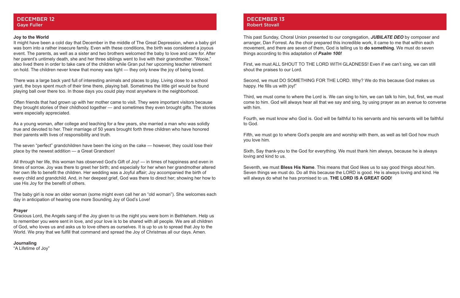This past Sunday, Choral Union presented to our congregation, *JUBILATE DEO* by composer and arranger, Dan Forrest. As the choir prepared this incredible work, it came to me that within each movement, and there are seven of them, God is telling us to **do something**. We must do seven things according to this adaptation of *Psalm 100!*

First, we must ALL SHOUT TO THE LORD WITH GLADNESS! Even if we can't sing, we can still shout the praises to our Lord.

Second, we must DO SOMETHING FOR THE LORD. Why? We do this because God makes us happy. He fills us with joy!"

Third, we must come to where the Lord is. We can sing to him, we can talk to him, but, first, we must come to him. God will always hear all that we say and sing, by using prayer as an avenue to converse with him.

Fourth, we must know who God is. God will be faithful to his servants and his servants will be faithful to God.

Fifth, we must go to where God's people are and worship with them, as well as tell God how much you love him.

Sixth, Say thank-you to the God for everything. We must thank him always, because he is always loving and kind to us.

Seventh, we must **Bless His Name**. This means that God likes us to say good things about him. Seven things we must do. Do all this because the LORD is good. He is always loving and kind. He will always do what he has promised to us. **THE LORD IS A GREAT GOD**!

#### **Joy to the World**

It might have been a cold day that December in the middle of The Great Depression, when a baby girl was born into a rather insecure family. Even with these conditions, the birth was considered a joyous event. The parents, as well as a sister and two brothers welcomed the baby to love and care for. After her parent's untimely death, she and her three siblings went to live with their grandmother. "Wooie," also lived there in order to take care of the children while Gran put her upcoming teacher retirement on hold. The children never knew that money was tight — they only knew the joy of being loved.

There was a large back yard full of interesting animals and places to play. Living close to a school yard, the boys spent much of their time there, playing ball. Sometimes the little girl would be found playing ball over there too. In those days you could play most anywhere in the neighborhood.

Often friends that had grown up with her mother came to visit. They were important visitors because they brought stories of their childhood together — and sometimes they even brought gifts. The stories were especially appreciated.

As a young woman, after college and teaching for a few years, she married a man who was solidly true and devoted to her. Their marriage of 50 years brought forth three children who have honored their parents with lives of responsibility and truth.

The seven "perfect" grandchildren have been the icing on the cake — however, they could lose their place by the newest addition — a Great Grandson!

All through her life, this woman has observed God's Gift of Joy! — in times of happiness and even in times of sorrow. Joy was there to greet her birth; and especially for her when her grandmother altered her own life to benefit the children. Her wedding was a Joyful affair; Joy accompanied the birth of every child and grandchild. And, in her deepest grief, God was there to direct her; showing her how to use His Joy for the benefit of others.

The baby girl is now an older woman (some might even call her an "old woman"). She welcomes each day in anticipation of hearing one more Sounding Joy of God's Love!

#### **Prayer**

Gracious Lord, the Angels sang of the Joy given to us the night you were born in Bethlehem. Help us to remember you were sent in love, and your love is to be shared with all people. We are all children of God, who loves us and asks us to love others as ourselves. It is up to us to spread that Joy to the World. We pray that we fulfill that command and spread the Joy of Christmas all our days. Amen.

#### **Journaling**

"A Lifetime of Joy"

#### DECEMBER 13 Robert Stovall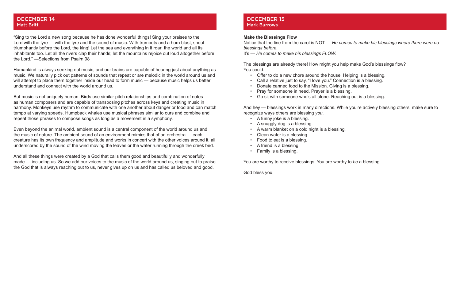#### **Make the Blessings Flow**

Notice that the line from the carol is NOT — *He comes to make his blessings where there were no blessings before.*

It's — *He comes to make his blessings FLOW.*

The blessings are already there! How might you help make God's blessings flow? You could:

- Offer to do a new chore around the house. Helping is a blessing.
- Call a relative just to say, "I love you." Connection is a blessing.
- Donate canned food to the Mission. Giving is a blessing.
- Pray for someone in need. Prayer is a blessing.
- Go sit with someone who's all alone. Reaching out is a blessing.

- A funny joke is a blessing.
- A snuggly dog is a blessing.
- A warm blanket on a cold night is a blessing.
- Clean water is a blessing.
- Food to eat is a blessing.
- A friend is a blessing.
- Family is a blessing.

And hey — blessings work in many directions. While you're actively blessing others, make sure to recognize ways others are blessing *you*.

You are worthy to receive blessings. You are worthy to *be* a blessing.

God bless you.

"Sing to the Lord a new song because he has done wonderful things! Sing your praises to the Lord with the lyre — with the lyre and the sound of music. With trumpets and a horn blast, shout triumphantly before the Lord, the king! Let the sea and everything in it roar; the world and all its inhabitants too. Let all the rivers clap their hands; let the mountains rejoice out loud altogether before the Lord." —Selections from Psalm 98

Humankind is always seeking out music, and our brains are capable of hearing just about anything as music. We naturally pick out patterns of sounds that repeat or are melodic in the world around us and will attempt to place them together inside our head to form music — because music helps us better understand and connect with the world around us.

But music is not uniquely human. Birds use similar pitch relationships and combination of notes as human composers and are capable of transposing pitches across keys and creating music in harmony. Monkeys use rhythm to communicate with one another about danger or food and can match tempo at varying speeds. Humpback whales use musical phrases similar to ours and combine and repeat those phrases to compose songs as long as a movement in a symphony.

Even beyond the animal world, ambient sound is a central component of the world around us and the music of nature. The ambient sound of an environment mimics that of an orchestra — each creature has its own frequency and amplitude and works in concert with the other voices around it, all underscored by the sound of the wind moving the leaves or the water running through the creek bed.

And all these things were created by a God that calls them good and beautifully and wonderfully made — including us. So we add our voices to the music of the world around us, singing out to praise the God that is always reaching out to us, never gives up on us and has called us beloved and good.

#### DECEMBER 15 Mark Burrows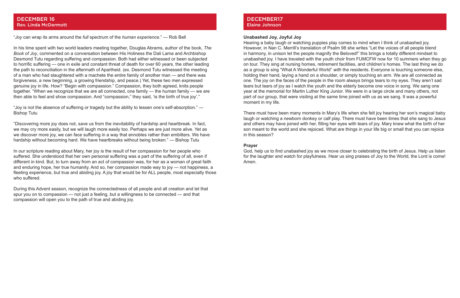#### **Unabashed Joy, Joyful Joy**

Hearing a baby laugh or watching puppies play comes to mind when I think of unabashed joy. However, in Nan C. Merrill's translation of Psalm 98 she writes "Let the voices of all people blend in harmony, in unison let the people magnify the Beloved!" this brings a totally different mindset to unabashed joy. I have traveled with the youth choir from FUMCFW now for 10 summers when they go on tour. They sing at nursing homes, retirement facilities, and children's homes. The last thing we do as a group is sing "What A Wonderful World" *with* the residents. Everyone is touching someone else, holding their hand, laying a hand on a shoulder, or simply touching an arm. We are all connected as one. The joy on the faces of the people in the room always brings tears to my eyes. They aren't sad tears but tears of joy as I watch the youth and the elderly become one voice in song. We sang one year at the memorial for Martin Luther King Junior. We were in a large circle and many others, not part of our group, that were visiting at the same time joined with us as we sang. It was a powerful moment in my life.

There must have been many moments in Mary's life when she felt joy hearing her son's magical baby laugh or watching a newborn donkey or calf play. There must have been times that she sang to Jesus and others may have joined with her, filling her eyes with tears of joy. Mary knew what the birth of her son meant to the world and she rejoiced. What are things in your life big or small that you can rejoice in this season?

#### **Prayer**

God, help us to find unabashed joy as we move closer to celebrating the birth of Jesus. Help us listen for the laughter and watch for playfulness. Hear us sing praises of Joy to the World, the Lord is come! Amen.

"*Joy* can wrap its arms around the *full* spectrum of the *human experience*." — Rob Bell

In his time spent with two world leaders meeting together, Douglas Abrams, author of the book, *The Book of Joy*, commented on a conversation between His Holiness the Dali Lama and Archbishop Desmond Tutu regarding suffering and compassion. Both had either witnessed or been subjected to horrific suffering — one in exile and constant threat of death for over 60 years, the other leading the path to reconciliation in the aftermath of Apartheid. (ex. Desmond Tutu witnessed the meeting of a man who had slaughtered with a machete the entire family of another man — and there was forgiveness, a new beginning, a growing friendship, and peace.) Yet, these two men expressed genuine joy in life. How? "Begin with compassion." Compassion, they both agreed, knits people together. "When we recognize that we are all connected, one family — the human family — we are then able to feel and show compassion. And "compassion," they said, 'is the birth of true joy'."

"Joy is not the absence of suffering or tragedy but the ability to lessen one's self-absorption." — Bishop Tutu

"Discovering more joy does not, save us from the inevitability of hardship and heartbreak. In fact, we may cry more easily, but we will laugh more easily too. Perhaps we are just more alive. Yet as we discover more joy, we can face suffering in a way that ennobles rather than embitters. We have hardship without becoming hard. We have heartbreaks without being broken." — Bishop Tutu

In our scripture reading about Mary, her joy is the result of her compassion for her people who suffered. She understood that her own personal suffering was a part of the suffering of all, even if different in kind. But, to turn away from an act of compassion was, for her as a woman of great faith and enduring hope, her true humanity. And so, her compassion made way to joy — not happiness, a fleeting experience, but true and abiding joy. A joy that would be for ALL people, most especially those who suffered.

During this Advent season, recognize the connectedness of all people and all creation and let that spur you on to compassion — not just a feeling, but a willingness to be connected — and that compassion will open you to the path of true and abiding joy.

#### DECEMBER17 Elaine Johnson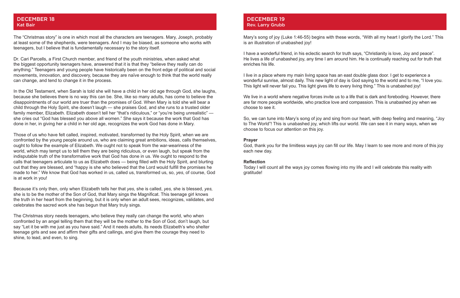Mary's song of joy (Luke 1:46-55) begins with these words, "With all my heart I glorify the Lord." This is an illustration of unabashed joy!

I have a wonderful friend, in his eclectic search for truth says, "Christianity is love, Joy and peace". He lives a life of unabashed joy, any time I am around him. He is continually reaching out for truth that enriches his life.

We live in a world where negative forces invite us to a life that is dark and foreboding. However, there are far more people worldwide, who practice love and compassion. This is unabashed joy when we choose to see it.

I live in a place where my main living space has an east double glass door. I get to experience a wonderful sunrise, almost daily. This new light of day is God saying to the world and to me, "I love you. This light will never fail you. This light gives life to every living thing." This is unabashed joy!

So, we can tune into Mary's song of joy and sing from our heart, with deep feeling and meaning, "Joy to The World"! This is unabashed joy, which lifts our world. We can see it in many ways, when we choose to focus our attention on this joy.

#### **Prayer**

God, thank you for the limitless ways joy can fill our life. May I learn to see more and more of this joy each new day.

#### **Reflection**

Today I will count all the ways joy comes flowing into my life and I will celebrate this reality with gratitude!

The "Christmas story" is one in which most all the characters are teenagers. Mary, Joseph, probably at least some of the shepherds, were teenagers. And I may be biased, as someone who works with teenagers, but I believe that is fundamentally necessary to the story itself.

Dr. Cari Parcells, a First Church member, and friend of the youth ministries, when asked what the biggest opportunity teenagers have, answered that it is that they "believe they really can do anything." Teenagers and young people have historically been on the front edge of political and social movements, innovation, and discovery, because they are naïve enough to think that the world really can change, and tend to change it in the process.

In the Old Testament, when Sarah is told she will have a child in her old age through God, she laughs, because she believes there is no way this can be. She, like so many adults, has come to believe the disappointments of our world are truer than the promises of God. When Mary is told she will bear a child through the Holy Spirit, she doesn't laugh — she praises God, and she runs to a trusted older family member, Elizabeth. Elizabeth doesn't tell her "that's ridiculous," or "you're being unrealistic" she cries out "God has blessed you above all women." She says it because the work that God has done in her, in giving her a child in her old age, recognizes the work God has done in Mary.

Those of us who have felt called, inspired, motivated, transformed by the Holy Spirit, when we are confronted by the young people around us, who are claiming great ambitions, ideas, calls themselves, ought to follow the example of Elizabeth. We ought not to speak from the war-weariness of the world, which may tempt us to tell them they are being ridiculous, or even laugh, but speak from the indisputable truth of the transformative work that God has done in us. We ought to respond to the calls that teenagers articulate to us as Elizabeth does — being filled with the Holy Spirit, and blurting out that they are blessed, and "happy is she who believed that the Lord would fulfill the promises he made to her." We know that God has worked in us, called us, transformed us, so, *yes*, of course, God is at work in you!

Because it's only then, only when Elizabeth tells her that *yes,* she is called, *yes,* she is blessed, *yes,*  she is to be the mother of the Son of God, that Mary sings the Magnificat. This teenage girl knows the truth in her heart from the beginning, but it is only when an adult sees, recognizes, validates, and celebrates the sacred work she has begun that Mary truly sings.

The Christmas story needs teenagers, who believe they really can change the world, who when confronted by an angel telling them that they will be the mother to the Son of God, don't laugh, but say "Let it be with me just as you have said." And it needs adults, its needs Elizabeth's who shelter teenage girls and see and affirm their gifts and callings, and give them the courage they need to shine, to lead, and even, to sing.

#### DECEMBER 19 Rev. Larry Grubb

#### DECEMBER 18 Kat Bair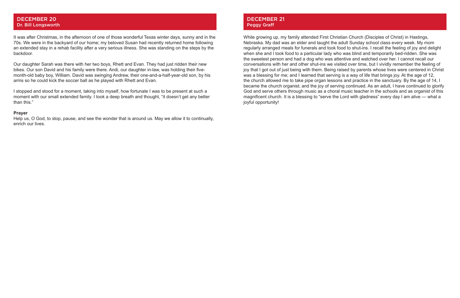While growing up, my family attended First Christian Church (Disciples of Christ) in Hastings, Nebraska. My dad was an elder and taught the adult Sunday school class every week. My mom regularly arranged meals for funerals and took food to shut-ins. I recall the feeling of joy and delight when she and I took food to a particular lady who was blind and temporarily bed-ridden. She was the sweetest person and had a dog who was attentive and watched over her. I cannot recall our conversations with her and other shut-ins we visited over time, but I vividly remember the feeling of joy that I got out of just being with them. Being raised by parents whose lives were centered in Christ was a blessing for me; and I learned that serving is a way of life that brings joy. At the age of 12, the church allowed me to take pipe organ lessons and practice in the sanctuary. By the age of 14, I became the church organist; and the joy of serving continued. As an adult, I have continued to glorify God and serve others through music as a choral music teacher in the schools and as organist of this magnificent church. It is a blessing to "serve the Lord with gladness" every day I am alive — what a joyful opportunity!

It was after Christmas, in the afternoon of one of those wonderful Texas winter days, sunny and in the 70s. We were in the backyard of our home; my beloved Susan had recently returned home following an extended stay in a rehab facility after a very serious illness. She was standing on the steps by the backdoor.

Our daughter Sarah was there with her two boys, Rhett and Evan. They had just ridden their new bikes. Our son David and his family were there. Andi, our daughter in-law, was holding their fivemonth-old baby boy, William. David was swinging Andrew, their one-and-a-half-year-old son, by his arms so he could kick the soccer ball as he played with Rhett and Evan.

I stopped and stood for a moment, taking into myself, how fortunate I was to be present at such a moment with our small extended family. I took a deep breath and thought, "it doesn't get any better than this."

#### **Prayer**

Help us, O God, to stop, pause, and see the wonder that is around us. May we allow it to continually, enrich our lives.

### DECEMBER 21 Peggy Graff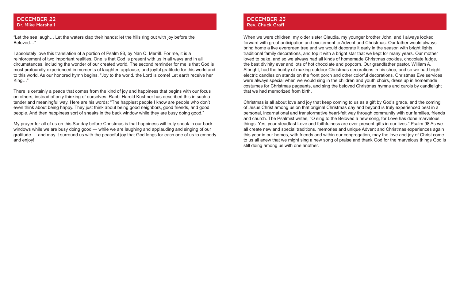When we were children, my older sister Claudia, my younger brother John, and I always looked forward with great anticipation and excitement to Advent and Christmas. Our father would always bring home a live evergreen tree and we would decorate it early in the season with bright lights, traditional family decorations, and top it with a bright star that we kept for many years. Our mother loved to bake, and so we always had all kinds of homemade Christmas cookies, chocolate fudge, the best divinity ever and lots of hot chocolate and popcorn. Our grandfather pastor, William A. Albright, had the hobby of making outdoor Christmas decorations in his shop, and so we had bright electric candles on stands on the front porch and other colorful decorations. Christmas Eve services were always special when we would sing in the children and youth choirs, dress up in homemade costumes for Christmas pageants, and sing the beloved Christmas hymns and carols by candlelight that we had memorized from birth.

Christmas is all about love and joy that keep coming to us as a gift by God's grace, and the coming of Jesus Christ among us on that original Christmas day and beyond is truly experienced best in a personal, incarnational and transformative heart-felt way through community with our families, friends and church. The Psalmist writes, "O sing to the Beloved a new song, for Love has done marvelous things. Yes, your steadfast Love and faithfulness are ever-present gifts in our lives." Psalm 98 As we all create new and special traditions, memories and unique Advent and Christmas experiences again this year in our homes, with friends and within our congregation, may the love and joy of Christ come to us all anew that we might sing a new song of praise and thank God for the marvelous things God is still doing among us with one another.

"Let the sea laugh… Let the waters clap their hands; let the hills ring out with joy before the Beloved…"

I absolutely love this translation of a portion of Psalm 98, by Nan C. Merrill. For me, it is a reinforcement of two important realities. One is that God is present with us in all ways and in all circumstances, including the wonder of our created world. The second reminder for me is that God is most profoundly experienced in moments of laughter, applause, and joyful gratitude for this world and to this world. As our honored hymn begins, "Joy to the world, the Lord is come! Let earth receive her King…"

There is certainly a peace that comes from the kind of joy and happiness that begins with our focus on others, instead of only thinking of ourselves. Rabbi Harold Kushner has described this in such a tender and meaningful way. Here are his words: "The happiest people I know are people who don't even think about being happy. They just think about being good neighbors, good friends, and good people. And then happiness sort of sneaks in the back window while they are busy doing good."

My prayer for all of us on this Sunday before Christmas is that happiness will truly sneak in our back windows while we are busy doing good — while we are laughing and applauding and singing of our gratitude — and may it surround us with the peaceful joy that God longs for each one of us to embody and enjoy!

#### DECEMBER 23 Rev. Chuck Graff

#### DECEMBER 22 Dr. Mike Marshall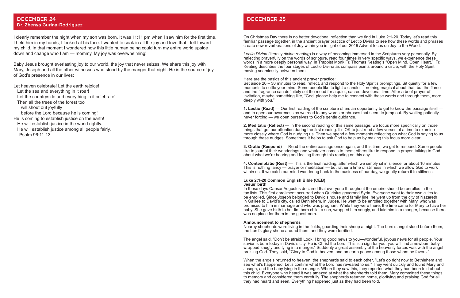On Christmas Day there is no better devotional reflection than we find in Luke 2:1-20. Today let's read this familiar passage together, in the ancient prayer practice of Lectio Divina to see how these words and phrases create new reverberations of Joy within you in light of our 2019 Advent focus on Joy to the World.

*Lectio Divina* (literally *divine reading*) is a way of becoming immersed in the Scriptures very personally. By reflecting prayerfully on the words of scripture, read four times in very specific ways, we experience these words in a more deeply personal way. In Trappist Monk Fr. Thomas Keating's "Open Mind, Open Heart," Fr. Keating describes the four stages of Lectio Divina as compass points around a circle, with the Holy Spirit moving seamlessly between them.

Here are the basics of this ancient prayer practice: Set aside 20 – 30 minutes to read, reflect, and respond to the Holy Spirit's promptings. Sit quietly for a few moments to settle your mind. Some people like to light a candle — nothing magical about that, but the flame and the fragrance can definitely set the mood for a quiet, sacred devotional time. After a brief prayer of invitation, maybe something like, "God, please help me to connect with these words and through them, more deeply with you."

**1. Lectio (Read)** — Our first reading of the scripture offers an opportunity to get to know the passage itself and to open our awareness as we read to any words or phrases that seem to jump out. By waiting patiently never forcing — we open ourselves to God's gentle guidance.

**2. Meditatio (Reflect)** — In the second reading of this same passage, we focus more specifically on those things that got our attention during the first reading. It's OK to just read a few verses at a time to examine more closely where God is nudging us. Then we spend a few moments reflecting on what God is saying to us through these nudges. Sometimes It helps to ask God to help us by making this focus more clear.

**3. Oratio (Respond)** — Read the entire passage once again, and this time, we get to respond. Some people like to journal their wonderings and whatever comes to them; others like to respond in prayer, talking to God about what we're hearing and feeling through this reading on this day.

**4. Contemplatio (Rest)** — This is the final reading, after which we simply sit in silence for about 10 minutes. This is nothing fancy — prayer or meditation — but rather a time of stillness in which we allow God to work within us. If we catch our mind wandering back to the business of our day, we gently return it to stillness.

#### **Luke 2:1-20 Common English Bible (CEB) Jesus' birth**

In those days Caesar Augustus declared that everyone throughout the empire should be enrolled in the tax lists. This first enrollment occurred when Quirinius governed Syria. Everyone went to their own cities to be enrolled. Since Joseph belonged to David's house and family line, he went up from the city of Nazareth in Galilee to David's city, called Bethlehem, in Judea. He went to be enrolled together with Mary, who was promised to him in marriage and who was pregnant. While they were there, the time came for Mary to have her baby. She gave birth to her firstborn child, a son, wrapped him snugly, and laid him in a manger, because there was no place for them in the guestroom.

#### **Announcement to shepherds**

Nearby shepherds were living in the fields, guarding their sheep at night. The Lord's angel stood before them, the Lord's glory shone around them, and they were terrified.

The angel said, "Don't be afraid! Look! I bring good news to you—wonderful, joyous news for all people. Your savior is born today in David's city. He is Christ the Lord. This is a sign for you: you will find a newborn baby wrapped snugly and lying in a manger." Suddenly a great assembly of the heavenly forces was with the angel praising God. They said, "Glory to God in heaven, and on earth peace among those whom he favors."

When the angels returned to heaven, the shepherds said to each other, "Let's go right now to Bethlehem and see what's happened. Let's confirm what the Lord has revealed to us." They went quickly and found Mary and Joseph, and the baby lying in the manger. When they saw this, they reported what they had been told about this child. Everyone who heard it was amazed at what the shepherds told them. Mary committed these things to memory and considered them carefully. The shepherds returned home, glorifying and praising God for all they had heard and seen. Everything happened just as they had been told.

I clearly remember the night when my son was born. It was 11:11 pm when I saw him for the first time. I held him in my hands, I looked at his face. I wanted to soak in all the joy and love that I felt toward my child. In that moment I wondered how this little human being could turn my entire world upside down and change who I am — mommy. My joy was overwhelming!

Baby Jesus brought everlasting joy to our world, the joy that never seizes. We share this joy with Mary, Joseph and all the other witnesses who stood by the manger that night. He is the source of joy of God's presence in our lives:

Let heaven celebrate! Let the earth rejoice!

 Let the sea and everything in it roar! Let the countryside and everything in it celebrate! Then all the trees of the forest too will shout out joyfully before the Lord because he is coming! He is coming to establish justice on the earth! He will establish justice in the world rightly. He will establish justice among all people fairly. — Psalm 96:11-13

#### DECEMBER 24 DECEMBER 25 Dr. Zhenya Gurina-Rodriguez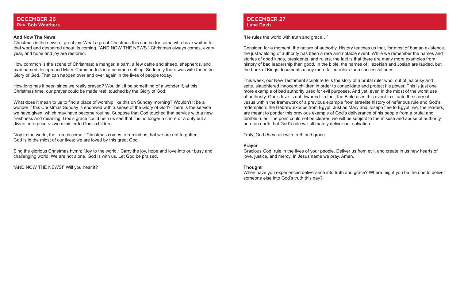"He rules the world with truth and grace…"

Consider, for a moment, the nature of authority. History teaches us that, for most of human existence, the just wielding of authority has been a rare and notable event. While we remember the names and stories of good kings, presidents, and rulers, the fact is that there are many more examples from history of bad leadership than good. In the bible, the names of Hezekiah and Josiah are lauded, but the book of Kings documents many more failed rulers than successful ones.

This week, our New Testament scripture tells the story of a brutal ruler who, out of jealousy and spite, slaughtered innocent children in order to consolidate and protect his power. This is just one more example of bad authority used for evil purposes. And yet, even in the midst of the worst use of authority, God's love is not thwarted. In fact, the Bible uses this event to situate the story of Jesus within the framework of a previous example from Israelite history of nefarious rule and God's redemption: the Hebrew exodus from Egypt. Just as Mary and Joseph flee to Egypt, we, the readers, are meant to ponder this previous example of God's deliverance of his people from a brutal and terrible ruler. The point could not be clearer: we will be subject to the misuse and abuse of authority here on earth, but God's rule will ultimately deliver our salvation.

Truly, God *does* rule with truth and grace.

#### **Prayer**

Gracious God, rule in the lives of your people. Deliver us from evil, and create in us new hearts of love, justice, and mercy. In Jesus name we pray, Amen.

#### **Thought**

When have you experienced deliverance into truth and grace? Where might you be the one to deliver someone else into God's truth this day?

#### **And Now The News**

Christmas is the news of great joy. What a great Christmas this can be for some who have waited for that word and despaired about its coming. "AND NOW THE NEWS." Christmas always comes, every year, and hope and joy are restored.

How common is the scene of Christmas; a manger, a barn, a few cattle and sheep, shepherds, and man named Joseph and Mary. Common folk in a common setting. Suddenly there was with them the Glory of God. That can happen over and over again in the lives of people today.

How long has it been since we really prayed? Wouldn't it be something of a wonder if, at this Christmas time, our prayer could be made real: touched by the Glory of God.

What does it mean to us to find a place of worship like this on Sunday morning? Wouldn't it be a wonder if this Christmas Sunday is endowed with a sense of the Glory of God? There is the service we have given, which may have become routine. Suppose that God touched that service with a new freshness and meaning. God's grace could help us see that it is no longer a chore or a duty but a divine enterprise as we minister to God's children.

"Joy to the world, the Lord is come." Christmas comes to remind us that we are not forgotten; God is in the midst of our lives; we are loved by this great God.

Sing the glorious Christmas hymn: "Joy to the world." Carry the joy, hope and love into our busy and challenging world. We are not alone, God is with us. Let God be praised.

"AND NOW THE NEWS!" Will you hear it?

#### DECEMBER 27 Lane Davis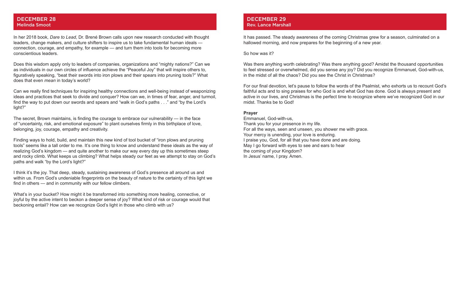It has passed. The steady awareness of the coming Christmas grew for a season, culminated on a hallowed morning, and now prepares for the beginning of a new year.

So how was it?

Was there anything worth celebrating? Was there anything good? Amidst the thousand opportunities to feel stressed or overwhelmed, did you sense any joy? Did you recognize Emmanuel, God-with-us, in the midst of all the chaos? Did you see the Christ in Christmas?

For our final devotion, let's pause to follow the words of the Psalmist, who exhorts us to recount God's faithful acts and to sing praises for who God is and what God has done. God is always present and active in our lives, and Christmas is the perfect time to recognize where we've recognized God in our midst. Thanks be to God!

#### **Prayer**

Emmanuel, God-with-us,

Thank you for your presence in my life. For all the ways, seen and unseen, you shower me with grace. Your mercy is unending, your love is enduring. I praise you, God, for all that you have done and are doing. May I go forward with eyes to see and ears to hear the coming of your Kingdom? In Jesus' name, I pray. Amen.

In her 2018 book, *Dare to Lead*, Dr. Brené Brown calls upon new research conducted with thought leaders, change makers, and culture shifters to inspire us to take fundamental human ideals connection, courage, and empathy, for example — and turn them into tools for becoming more conscientious leaders.

Does this wisdom apply only to leaders of companies, organizations and "mighty nations?" Can we as individuals in our own circles of influence achieve the "Peaceful Joy" that will inspire others to, figuratively speaking, "beat their swords into iron plows and their spears into pruning tools?" What does that even *mean* in today's world?

Can we really find techniques for inspiring healthy connections and well-being instead of weaponizing ideas and practices that seek to divide and conquer? How can we, in times of fear, anger, and turmoil, find the way to put down our swords and spears and "walk in God's paths . . ." and "by the Lord's light?"

The secret, Brown maintains, is finding the courage to embrace our vulnerability — in the face of "uncertainty, risk, and emotional exposure" to plant ourselves firmly in this birthplace of love, belonging, joy, courage, empathy and creativity.

Finding ways to hold, build, and maintain this new kind of tool bucket of "iron plows and pruning tools" seems like a tall order to me. It's one thing to know and understand these ideals as the way of realizing God's kingdom — and quite another to make our way every day up this sometimes steep and rocky climb. What keeps us climbing? What helps steady our feet as we attempt to stay on God's paths and walk "by the Lord's light?"

I think it's the joy. That deep, steady, sustaining awareness of God's presence all around us and within us. From God's undeniable fingerprints on the beauty of nature to the certainty of this light we find in others — and in community with our fellow climbers.

What's in your bucket? How might it be transformed into something more healing, connective, or joyful by the active intent to beckon a deeper sense of joy? What kind of risk or courage would that beckoning entail? How can we recognize God's light in those who climb with us?

#### DECEMBER 29 Rev. Lance Marshall

#### DECEMBER 28 Melinda Smoot